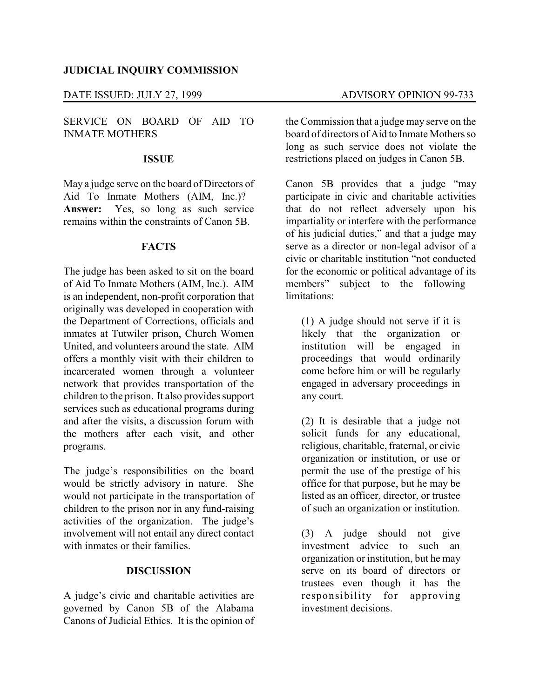# **JUDICIAL INQUIRY COMMISSION**

# DATE ISSUED: JULY 27, 1999 ADVISORY OPINION 99-733

SERVICE ON BOARD OF AID TO INMATE MOTHERS

#### **ISSUE**

May a judge serve on the board of Directors of Aid To Inmate Mothers (AIM, Inc.)? **Answer:** Yes, so long as such service remains within the constraints of Canon 5B.

### **FACTS**

The judge has been asked to sit on the board of Aid To Inmate Mothers (AIM, Inc.). AIM is an independent, non-profit corporation that originally was developed in cooperation with the Department of Corrections, officials and inmates at Tutwiler prison, Church Women United, and volunteers around the state. AIM offers a monthly visit with their children to incarcerated women through a volunteer network that provides transportation of the children to the prison. It also provides support services such as educational programs during and after the visits, a discussion forum with the mothers after each visit, and other programs.

The judge's responsibilities on the board would be strictly advisory in nature. She would not participate in the transportation of children to the prison nor in any fund-raising activities of the organization. The judge's involvement will not entail any direct contact with inmates or their families.

### **DISCUSSION**

A judge's civic and charitable activities are governed by Canon 5B of the Alabama Canons of Judicial Ethics. It is the opinion of

the Commission that a judge may serve on the board of directors of Aid to Inmate Mothers so long as such service does not violate the restrictions placed on judges in Canon 5B.

Canon 5B provides that a judge "may participate in civic and charitable activities that do not reflect adversely upon his impartiality or interfere with the performance of his judicial duties," and that a judge may serve as a director or non-legal advisor of a civic or charitable institution "not conducted for the economic or political advantage of its members" subject to the following limitations<sup>.</sup>

(1) A judge should not serve if it is likely that the organization or institution will be engaged in proceedings that would ordinarily come before him or will be regularly engaged in adversary proceedings in any court.

(2) It is desirable that a judge not solicit funds for any educational, religious, charitable, fraternal, or civic organization or institution, or use or permit the use of the prestige of his office for that purpose, but he may be listed as an officer, director, or trustee of such an organization or institution.

(3) A judge should not give investment advice to such an organization or institution, but he may serve on its board of directors or trustees even though it has the responsibility for approving investment decisions.